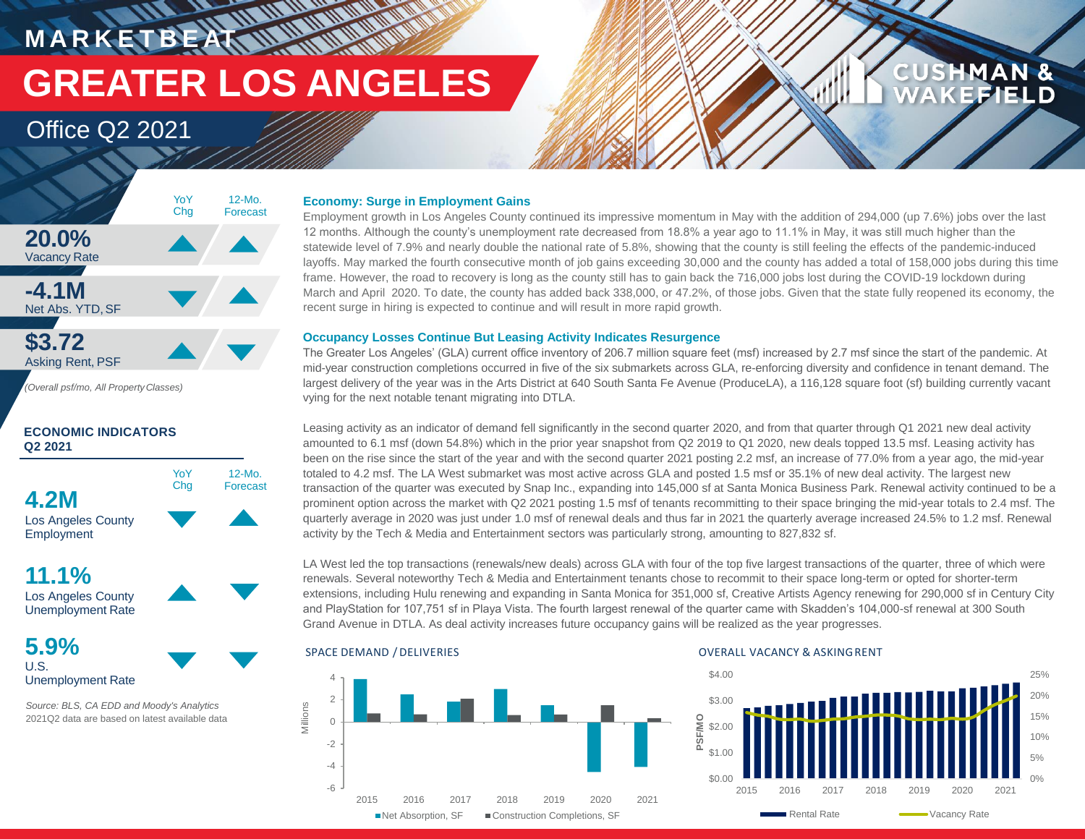**MARKETBEAT MARKET GREATER LOS ANGELES**

## Office Q2 2021



*(Overall psf/mo, All PropertyClasses)*

## **ECONOMIC INDICATORS Q2 2021**



**11.1%** Los Angeles County

Unemployment Rate



**5.9%** U.S.

Unemployment Rate

*Source: BLS, CA EDD and Moody's Analytics* 2021Q2 data are based on latest available data

## **Economy: Surge in Employment Gains**

Employment growth in Los Angeles County continued its impressive momentum in May with the addition of 294,000 (up 7.6%) jobs over the last 12 months. Although the county's unemployment rate decreased from 18.8% a year ago to 11.1% in May, it was still much higher than the statewide level of 7.9% and nearly double the national rate of 5.8%, showing that the county is still feeling the effects of the pandemic-induced layoffs. May marked the fourth consecutive month of job gains exceeding 30,000 and the county has added a total of 158,000 jobs during this time frame. However, the road to recovery is long as the county still has to gain back the 716,000 jobs lost during the COVID-19 lockdown during March and April 2020. To date, the county has added back 338,000, or 47.2%, of those jobs. Given that the state fully reopened its economy, the recent surge in hiring is expected to continue and will result in more rapid growth.

## **Occupancy Losses Continue But Leasing Activity Indicates Resurgence**

The Greater Los Angeles' (GLA) current office inventory of 206.7 million square feet (msf) increased by 2.7 msf since the start of the pandemic. At mid-year construction completions occurred in five of the six submarkets across GLA, re-enforcing diversity and confidence in tenant demand. The largest delivery of the year was in the Arts District at 640 South Santa Fe Avenue (ProduceLA), a 116,128 square foot (sf) building currently vacant vying for the next notable tenant migrating into DTLA.

Leasing activity as an indicator of demand fell significantly in the second quarter 2020, and from that quarter through Q1 2021 new deal activity amounted to 6.1 msf (down 54.8%) which in the prior year snapshot from Q2 2019 to Q1 2020, new deals topped 13.5 msf. Leasing activity has been on the rise since the start of the year and with the second quarter 2021 posting 2.2 msf, an increase of 77.0% from a year ago, the mid-year totaled to 4.2 msf. The LA West submarket was most active across GLA and posted 1.5 msf or 35.1% of new deal activity. The largest new transaction of the quarter was executed by Snap Inc., expanding into 145,000 sf at Santa Monica Business Park. Renewal activity continued to be a prominent option across the market with Q2 2021 posting 1.5 msf of tenants recommitting to their space bringing the mid-year totals to 2.4 msf. The quarterly average in 2020 was just under 1.0 msf of renewal deals and thus far in 2021 the quarterly average increased 24.5% to 1.2 msf. Renewal activity by the Tech & Media and Entertainment sectors was particularly strong, amounting to 827,832 sf.

LA West led the top transactions (renewals/new deals) across GLA with four of the top five largest transactions of the quarter, three of which were renewals. Several noteworthy Tech & Media and Entertainment tenants chose to recommit to their space long-term or opted for shorter-term extensions, including Hulu renewing and expanding in Santa Monica for 351,000 sf, Creative Artists Agency renewing for 290,000 sf in Century City and PlayStation for 107,751 sf in Playa Vista. The fourth largest renewal of the quarter came with Skadden's 104,000-sf renewal at 300 South Grand Avenue in DTLA. As deal activity increases future occupancy gains will be realized as the year progresses.



## SPACE DEMAND / DELIVERIES **OVERALL VACANCY & ASKINGRENT**



**CUSHMAN &** 

**CEFIELD**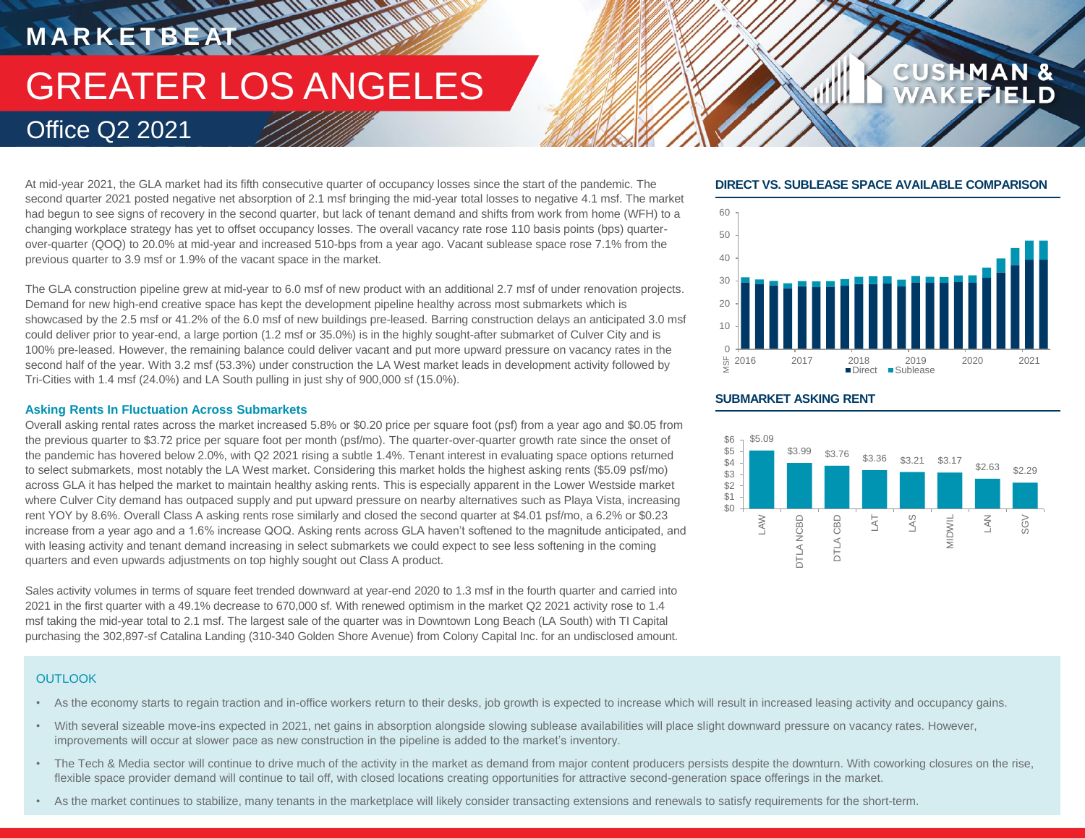# **MARKETBEAT IN WAITING** GREATER LOS ANGELES Office Q2 2021

At mid-year 2021, the GLA market had its fifth consecutive quarter of occupancy losses since the start of the pandemic. The second quarter 2021 posted negative net absorption of 2.1 msf bringing the mid-year total losses to negative 4.1 msf. The market had begun to see signs of recovery in the second quarter, but lack of tenant demand and shifts from work from home (WFH) to a changing workplace strategy has yet to offset occupancy losses. The overall vacancy rate rose 110 basis points (bps) quarterover-quarter (QOQ) to 20.0% at mid-year and increased 510-bps from a year ago. Vacant sublease space rose 7.1% from the previous quarter to 3.9 msf or 1.9% of the vacant space in the market.

The GLA construction pipeline grew at mid-year to 6.0 msf of new product with an additional 2.7 msf of under renovation projects. Demand for new high-end creative space has kept the development pipeline healthy across most submarkets which is showcased by the 2.5 msf or 41.2% of the 6.0 msf of new buildings pre-leased. Barring construction delays an anticipated 3.0 msf could deliver prior to year-end, a large portion (1.2 msf or 35.0%) is in the highly sought-after submarket of Culver City and is 100% pre-leased. However, the remaining balance could deliver vacant and put more upward pressure on vacancy rates in the second half of the year. With 3.2 msf (53.3%) under construction the LA West market leads in development activity followed by Tri-Cities with 1.4 msf (24.0%) and LA South pulling in just shy of 900,000 sf (15.0%).

## **Asking Rents In Fluctuation Across Submarkets**

Overall asking rental rates across the market increased 5.8% or \$0.20 price per square foot (psf) from a year ago and \$0.05 from the previous quarter to \$3.72 price per square foot per month (psf/mo). The quarter-over-quarter growth rate since the onset of the pandemic has hovered below 2.0%, with Q2 2021 rising a subtle 1.4%. Tenant interest in evaluating space options returned to select submarkets, most notably the LA West market. Considering this market holds the highest asking rents (\$5.09 psf/mo) across GLA it has helped the market to maintain healthy asking rents. This is especially apparent in the Lower Westside market where Culver City demand has outpaced supply and put upward pressure on nearby alternatives such as Playa Vista, increasing rent YOY by 8.6%. Overall Class A asking rents rose similarly and closed the second quarter at \$4.01 psf/mo, a 6.2% or \$0.23 increase from a year ago and a 1.6% increase QOQ. Asking rents across GLA haven't softened to the magnitude anticipated, and with leasing activity and tenant demand increasing in select submarkets we could expect to see less softening in the coming quarters and even upwards adjustments on top highly sought out Class A product.

Sales activity volumes in terms of square feet trended downward at year-end 2020 to 1.3 msf in the fourth quarter and carried into 2021 in the first quarter with a 49.1% decrease to 670,000 sf. With renewed optimism in the market Q2 2021 activity rose to 1.4 msf taking the mid-year total to 2.1 msf. The largest sale of the quarter was in Downtown Long Beach (LA South) with TI Capital purchasing the 302,897-sf Catalina Landing (310-340 Golden Shore Avenue) from Colony Capital Inc. for an undisclosed amount.

## **DIRECT VS. SUBLEASE SPACE AVAILABLE COMPARISON**

**CUSHMAN &** 



## **SUBMARKET ASKING RENT**



## **OUTLOOK**

- As the economy starts to regain traction and in-office workers return to their desks, job growth is expected to increase which will result in increased leasing activity and occupancy gains.
- With several sizeable move-ins expected in 2021, net gains in absorption alongside slowing sublease availabilities will place slight downward pressure on vacancy rates. However, improvements will occur at slower pace as new construction in the pipeline is added to the market's inventory.
- The Tech & Media sector will continue to drive much of the activity in the market as demand from major content producers persists despite the downturn. With coworking closures on the rise, flexible space provider demand will continue to tail off, with closed locations creating opportunities for attractive second-generation space offerings in the market.
- As the market continues to stabilize, many tenants in the marketplace will likely consider transacting extensions and renewals to satisfy requirements for the short-term.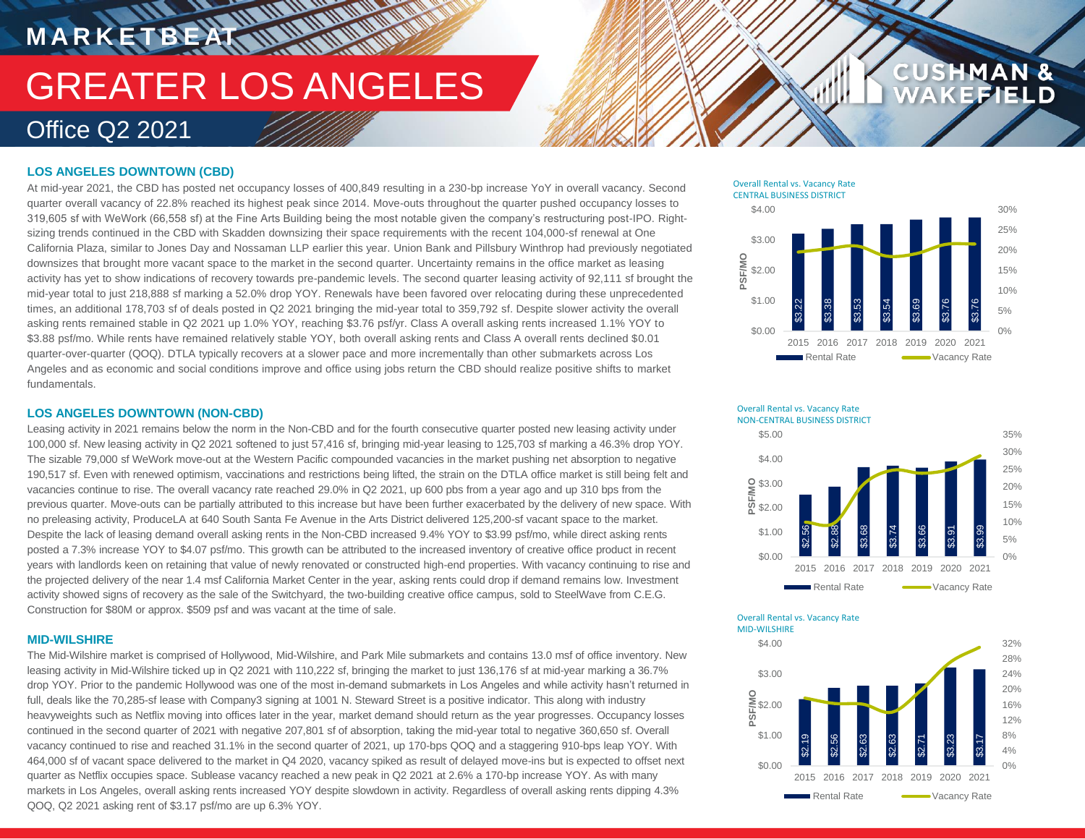# **MARKETBEAT MANUFULURE** GREATER LOS ANGELES Office Q2 2021

## **LOS ANGELES DOWNTOWN (CBD)**

At mid-year 2021, the CBD has posted net occupancy losses of 400,849 resulting in a 230-bp increase YoY in overall vacancy. Second quarter overall vacancy of 22.8% reached its highest peak since 2014. Move-outs throughout the quarter pushed occupancy losses to 319,605 sf with WeWork (66,558 sf) at the Fine Arts Building being the most notable given the company's restructuring post-IPO. Rightsizing trends continued in the CBD with Skadden downsizing their space requirements with the recent 104,000-sf renewal at One California Plaza, similar to Jones Day and Nossaman LLP earlier this year. Union Bank and Pillsbury Winthrop had previously negotiated downsizes that brought more vacant space to the market in the second quarter. Uncertainty remains in the office market as leasing activity has yet to show indications of recovery towards pre-pandemic levels. The second quarter leasing activity of 92,111 sf brought the mid-year total to just 218,888 sf marking a 52.0% drop YOY. Renewals have been favored over relocating during these unprecedented times, an additional 178,703 sf of deals posted in Q2 2021 bringing the mid-year total to 359,792 sf. Despite slower activity the overall asking rents remained stable in Q2 2021 up 1.0% YOY, reaching \$3.76 psf/yr. Class A overall asking rents increased 1.1% YOY to \$3.88 psf/mo. While rents have remained relatively stable YOY, both overall asking rents and Class A overall rents declined \$0.01 quarter-over-quarter (QOQ). DTLA typically recovers at a slower pace and more incrementally than other submarkets across Los Angeles and as economic and social conditions improve and office using jobs return the CBD should realize positive shifts to market fundamentals.

## **LOS ANGELES DOWNTOWN (NON-CBD)**

Leasing activity in 2021 remains below the norm in the Non-CBD and for the fourth consecutive quarter posted new leasing activity under 100,000 sf. New leasing activity in Q2 2021 softened to just 57,416 sf, bringing mid-year leasing to 125,703 sf marking a 46.3% drop YOY. The sizable 79,000 sf WeWork move-out at the Western Pacific compounded vacancies in the market pushing net absorption to negative 190,517 sf. Even with renewed optimism, vaccinations and restrictions being lifted, the strain on the DTLA office market is still being felt and vacancies continue to rise. The overall vacancy rate reached 29.0% in Q2 2021, up 600 pbs from a year ago and up 310 bps from the previous quarter. Move-outs can be partially attributed to this increase but have been further exacerbated by the delivery of new space. With no preleasing activity, ProduceLA at 640 South Santa Fe Avenue in the Arts District delivered 125,200-sf vacant space to the market. Despite the lack of leasing demand overall asking rents in the Non-CBD increased 9.4% YOY to \$3.99 psf/mo, while direct asking rents posted a 7.3% increase YOY to \$4.07 psf/mo. This growth can be attributed to the increased inventory of creative office product in recent years with landlords keen on retaining that value of newly renovated or constructed high-end properties. With vacancy continuing to rise and the projected delivery of the near 1.4 msf California Market Center in the year, asking rents could drop if demand remains low. Investment activity showed signs of recovery as the sale of the Switchyard, the two-building creative office campus, sold to SteelWave from C.E.G. Construction for \$80M or approx. \$509 psf and was vacant at the time of sale.

### **MID-WILSHIRE**

The Mid-Wilshire market is comprised of Hollywood, Mid-Wilshire, and Park Mile submarkets and contains 13.0 msf of office inventory. New leasing activity in Mid-Wilshire ticked up in Q2 2021 with 110,222 sf, bringing the market to just 136,176 sf at mid-year marking a 36.7% drop YOY. Prior to the pandemic Hollywood was one of the most in-demand submarkets in Los Angeles and while activity hasn't returned in full, deals like the 70,285-sf lease with Company3 signing at 1001 N. Steward Street is a positive indicator. This along with industry heavyweights such as Netflix moving into offices later in the year, market demand should return as the year progresses. Occupancy losses continued in the second quarter of 2021 with negative 207,801 sf of absorption, taking the mid-year total to negative 360,650 sf. Overall vacancy continued to rise and reached 31.1% in the second quarter of 2021, up 170-bps QOQ and a staggering 910-bps leap YOY. With 464,000 sf of vacant space delivered to the market in Q4 2020, vacancy spiked as result of delayed move-ins but is expected to offset next quarter as Netflix occupies space. Sublease vacancy reached a new peak in Q2 2021 at 2.6% a 170-bp increase YOY. As with many markets in Los Angeles, overall asking rents increased YOY despite slowdown in activity. Regardless of overall asking rents dipping 4.3% QOQ, Q2 2021 asking rent of \$3.17 psf/mo are up 6.3% YOY.

Overall Rental vs. Vacancy Rate CENTRAL BUSINESS DISTRICT



**CUSHMAN &** 





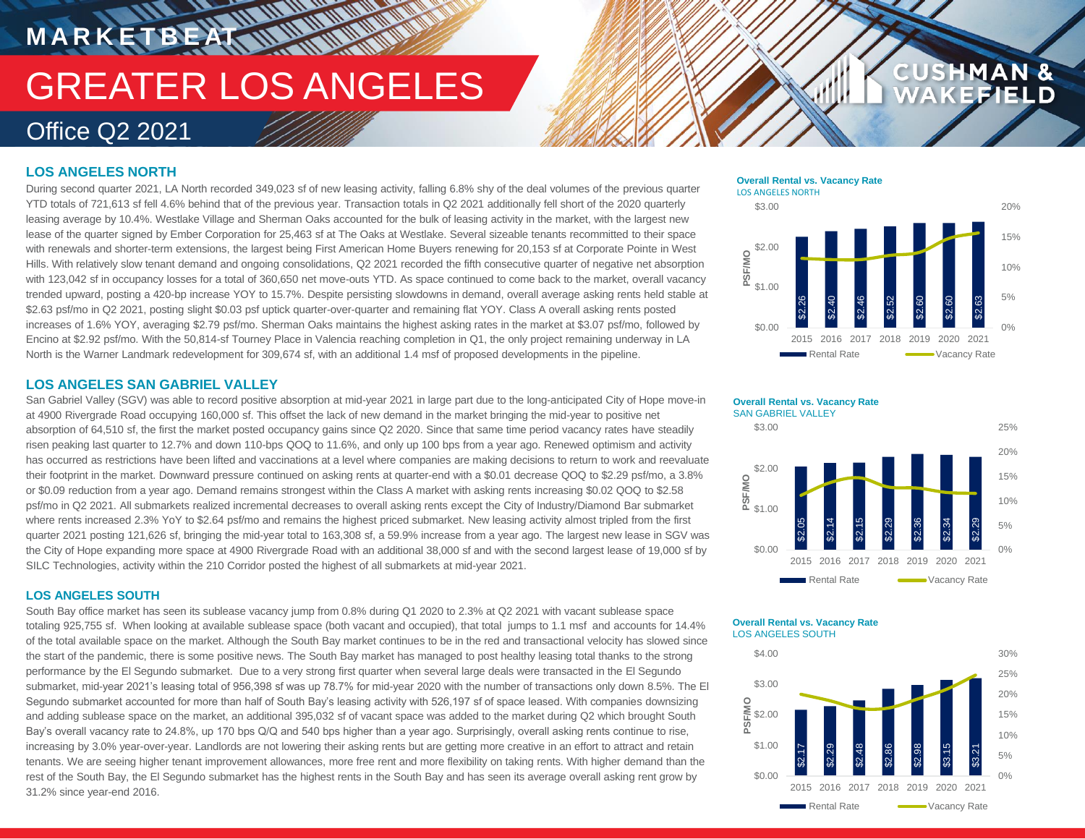# **MARKETBEAT WWW.WWW** GREATER LOS ANGELES Office Q2 2021

## **LOS ANGELES NORTH**

During second quarter 2021, LA North recorded 349,023 sf of new leasing activity, falling 6.8% shy of the deal volumes of the previous quarter YTD totals of 721,613 sf fell 4.6% behind that of the previous year. Transaction totals in Q2 2021 additionally fell short of the 2020 quarterly leasing average by 10.4%. Westlake Village and Sherman Oaks accounted for the bulk of leasing activity in the market, with the largest new lease of the quarter signed by Ember Corporation for 25,463 sf at The Oaks at Westlake. Several sizeable tenants recommitted to their space with renewals and shorter-term extensions, the largest being First American Home Buyers renewing for 20,153 sf at Corporate Pointe in West Hills. With relatively slow tenant demand and ongoing consolidations, Q2 2021 recorded the fifth consecutive quarter of negative net absorption with 123,042 sf in occupancy losses for a total of 360,650 net move-outs YTD. As space continued to come back to the market, overall vacancy trended upward, posting a 420-bp increase YOY to 15.7%. Despite persisting slowdowns in demand, overall average asking rents held stable at \$2.63 psf/mo in Q2 2021, posting slight \$0.03 psf uptick quarter-over-quarter and remaining flat YOY. Class A overall asking rents posted increases of 1.6% YOY, averaging \$2.79 psf/mo. Sherman Oaks maintains the highest asking rates in the market at \$3.07 psf/mo, followed by Encino at \$2.92 psf/mo. With the 50,814-sf Tourney Place in Valencia reaching completion in Q1, the only project remaining underway in LA North is the Warner Landmark redevelopment for 309,674 sf, with an additional 1.4 msf of proposed developments in the pipeline.

## **LOS ANGELES SAN GABRIEL VALLEY**

San Gabriel Valley (SGV) was able to record positive absorption at mid-year 2021 in large part due to the long-anticipated City of Hope move-in at 4900 Rivergrade Road occupying 160,000 sf. This offset the lack of new demand in the market bringing the mid-year to positive net absorption of 64,510 sf, the first the market posted occupancy gains since Q2 2020. Since that same time period vacancy rates have steadily risen peaking last quarter to 12.7% and down 110-bps QOQ to 11.6%, and only up 100 bps from a year ago. Renewed optimism and activity has occurred as restrictions have been lifted and vaccinations at a level where companies are making decisions to return to work and reevaluate their footprint in the market. Downward pressure continued on asking rents at quarter-end with a \$0.01 decrease QOQ to \$2.29 psf/mo, a 3.8% or \$0.09 reduction from a year ago. Demand remains strongest within the Class A market with asking rents increasing \$0.02 QOQ to \$2.58 psf/mo in Q2 2021. All submarkets realized incremental decreases to overall asking rents except the City of Industry/Diamond Bar submarket where rents increased 2.3% YoY to \$2.64 psf/mo and remains the highest priced submarket. New leasing activity almost tripled from the first quarter 2021 posting 121,626 sf, bringing the mid-year total to 163,308 sf, a 59.9% increase from a year ago. The largest new lease in SGV was the City of Hope expanding more space at 4900 Rivergrade Road with an additional 38,000 sf and with the second largest lease of 19,000 sf by SILC Technologies, activity within the 210 Corridor posted the highest of all submarkets at mid-year 2021.

## **LOS ANGELES SOUTH**

South Bay office market has seen its sublease vacancy jump from 0.8% during Q1 2020 to 2.3% at Q2 2021 with vacant sublease space totaling 925,755 sf. When looking at available sublease space (both vacant and occupied), that total jumps to 1.1 msf and accounts for 14.4% of the total available space on the market. Although the South Bay market continues to be in the red and transactional velocity has slowed since the start of the pandemic, there is some positive news. The South Bay market has managed to post healthy leasing total thanks to the strong performance by the El Segundo submarket. Due to a very strong first quarter when several large deals were transacted in the El Segundo submarket, mid-year 2021's leasing total of 956,398 sf was up 78.7% for mid-year 2020 with the number of transactions only down 8.5%. The El Segundo submarket accounted for more than half of South Bay's leasing activity with 526,197 sf of space leased. With companies downsizing and adding sublease space on the market, an additional 395,032 sf of vacant space was added to the market during Q2 which brought South Bay's overall vacancy rate to 24.8%, up 170 bps Q/Q and 540 bps higher than a year ago. Surprisingly, overall asking rents continue to rise, increasing by 3.0% year-over-year. Landlords are not lowering their asking rents but are getting more creative in an effort to attract and retain tenants. We are seeing higher tenant improvement allowances, more free rent and more flexibility on taking rents. With higher demand than the rest of the South Bay, the El Segundo submarket has the highest rents in the South Bay and has seen its average overall asking rent grow by 31.2% since year-end 2016.

## \$3.00 **Overall Rental vs. Vacancy Rate** LOS ANGELES NORTH



## **D**<br>B<br>\$1.00 \$2.00 \$3.00 **Overall Rental vs. Vacancy Rate** SAN GABRIEL VALLEY



15% 20% 25%

**CUSHMAN &** 

### **Overall Rental vs. Vacancy Rate** LOS ANGELES SOUTH

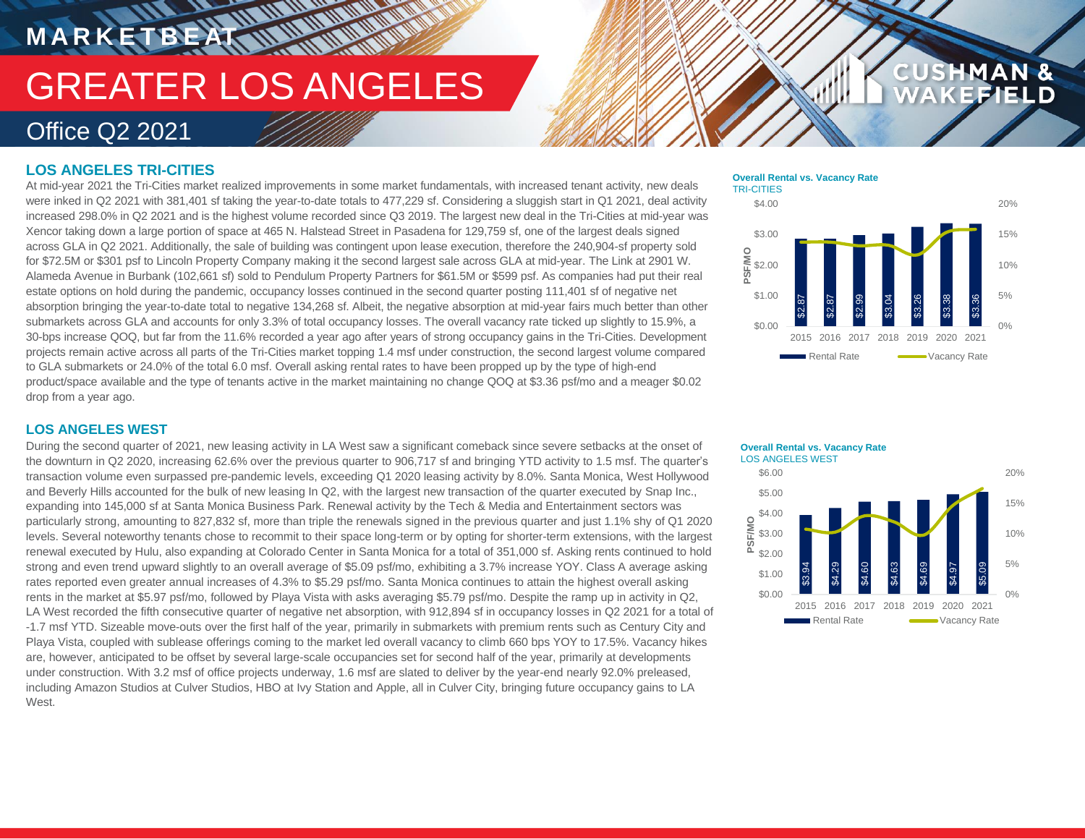## GREATER LOS ANGELES Office Q2 2021

## **LOS ANGELES TRI-CITIES**

**M A R K E T B E AT**

At mid-year 2021 the Tri-Cities market realized improvements in some market fundamentals, with increased tenant activity, new deals were inked in Q2 2021 with 381,401 sf taking the year-to-date totals to 477,229 sf. Considering a sluggish start in Q1 2021, deal activity increased 298.0% in Q2 2021 and is the highest volume recorded since Q3 2019. The largest new deal in the Tri-Cities at mid-year was Xencor taking down a large portion of space at 465 N. Halstead Street in Pasadena for 129,759 sf, one of the largest deals signed across GLA in Q2 2021. Additionally, the sale of building was contingent upon lease execution, therefore the 240,904-sf property sold for \$72.5M or \$301 psf to Lincoln Property Company making it the second largest sale across GLA at mid-year. The Link at 2901 W. Alameda Avenue in Burbank (102,661 sf) sold to Pendulum Property Partners for \$61.5M or \$599 psf. As companies had put their real estate options on hold during the pandemic, occupancy losses continued in the second quarter posting 111,401 sf of negative net absorption bringing the year-to-date total to negative 134,268 sf. Albeit, the negative absorption at mid-year fairs much better than other submarkets across GLA and accounts for only 3.3% of total occupancy losses. The overall vacancy rate ticked up slightly to 15.9%, a 30-bps increase QOQ, but far from the 11.6% recorded a year ago after years of strong occupancy gains in the Tri-Cities. Development projects remain active across all parts of the Tri-Cities market topping 1.4 msf under construction, the second largest volume compared to GLA submarkets or 24.0% of the total 6.0 msf. Overall asking rental rates to have been propped up by the type of high-end product/space available and the type of tenants active in the market maintaining no change QOQ at \$3.36 psf/mo and a meager \$0.02 drop from a year ago.

**HARRY AND MANY** 

### **Overall Rental vs. Vacancy Rate** TRI-CITIES



**CUSHMAN &** 

FIELD

## **LOS ANGELES WEST**

During the second quarter of 2021, new leasing activity in LA West saw a significant comeback since severe setbacks at the onset of the downturn in Q2 2020, increasing 62.6% over the previous quarter to 906,717 sf and bringing YTD activity to 1.5 msf. The quarter's transaction volume even surpassed pre-pandemic levels, exceeding Q1 2020 leasing activity by 8.0%. Santa Monica, West Hollywood and Beverly Hills accounted for the bulk of new leasing In Q2, with the largest new transaction of the quarter executed by Snap Inc., expanding into 145,000 sf at Santa Monica Business Park. Renewal activity by the Tech & Media and Entertainment sectors was particularly strong, amounting to 827,832 sf, more than triple the renewals signed in the previous quarter and just 1.1% shy of Q1 2020 levels. Several noteworthy tenants chose to recommit to their space long-term or by opting for shorter-term extensions, with the largest renewal executed by Hulu, also expanding at Colorado Center in Santa Monica for a total of 351,000 sf. Asking rents continued to hold strong and even trend upward slightly to an overall average of \$5.09 psf/mo, exhibiting a 3.7% increase YOY. Class A average asking rates reported even greater annual increases of 4.3% to \$5.29 psf/mo. Santa Monica continues to attain the highest overall asking rents in the market at \$5.97 psf/mo, followed by Playa Vista with asks averaging \$5.79 psf/mo. Despite the ramp up in activity in Q2, LA West recorded the fifth consecutive quarter of negative net absorption, with 912,894 sf in occupancy losses in Q2 2021 for a total of -1.7 msf YTD. Sizeable move-outs over the first half of the year, primarily in submarkets with premium rents such as Century City and Playa Vista, coupled with sublease offerings coming to the market led overall vacancy to climb 660 bps YOY to 17.5%. Vacancy hikes are, however, anticipated to be offset by several large-scale occupancies set for second half of the year, primarily at developments under construction. With 3.2 msf of office projects underway, 1.6 msf are slated to deliver by the year-end nearly 92.0% preleased, including Amazon Studios at Culver Studios, HBO at Ivy Station and Apple, all in Culver City, bringing future occupancy gains to LA West.

#### $$3.94$ \$4.29 \$4.60 \$4.63 \$4.69  $\mathfrak{p}$ \$5.  $0%$ 5% 10% 15% 20% \$0.00 \$1.00  $\frac{2}{5}$   $$2.00$ \$3.00 \$4.00 \$5.00 \$6.00 2015 2016 2017 2018 2019 2020 2021 **PSF/MO** Rental Rate **Communist Contract Rate Overall Rental vs. Vacancy Rate**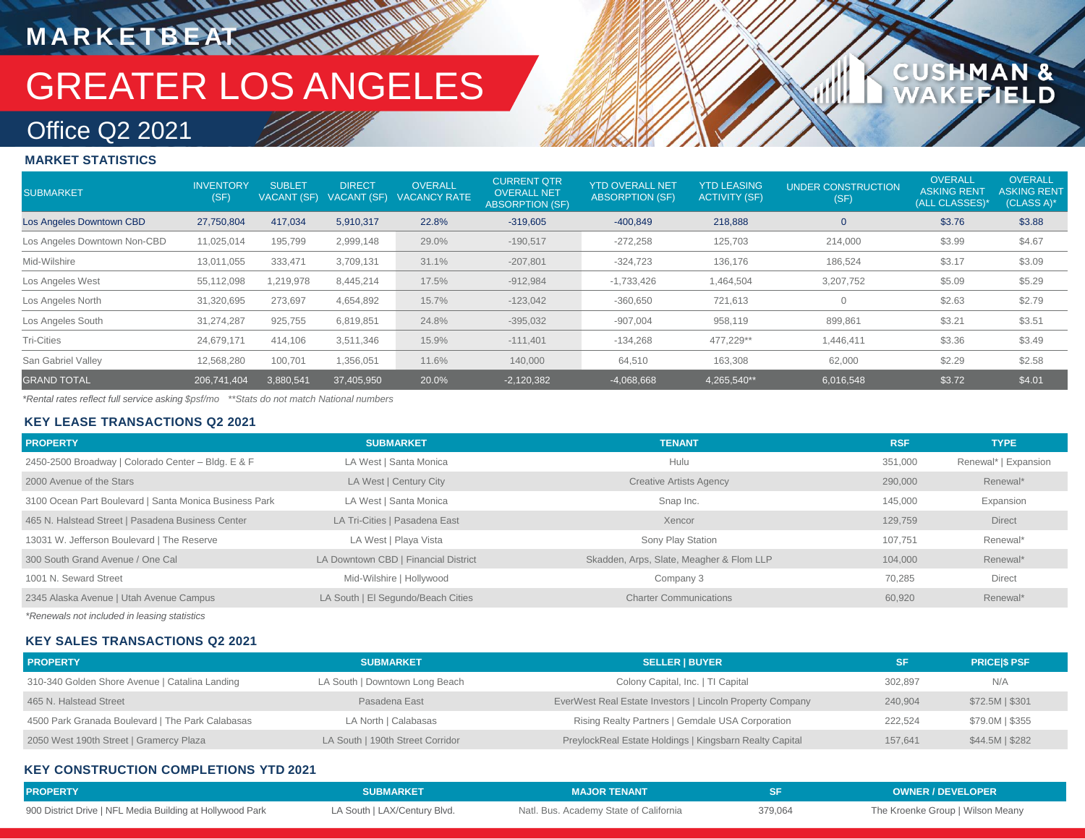# GREATER LOS ANGELES

## 1AN &<br>FIELD **CUSHM**

## Office Q2 2021

**M A R K E T B E AT**

## **MARKET STATISTICS**

| <b>SUBMARKET</b>             | <b>INVENTORY</b><br>(SF) | <b>SUBLET</b><br>VACANT (SF) | <b>DIRECT</b><br>VACANT (SF) | <b>OVERALL</b><br><b>VACANCY RATE</b> | <b>CURRENT QTR</b><br><b>OVERALL NET</b><br><b>ABSORPTION (SF)</b> | <b>YTD OVERALL NET</b><br><b>ABSORPTION (SF)</b> | <b>YTD LEASING</b><br><b>ACTIVITY (SF)</b> | <b>UNDER CONSTRUCTION</b><br>(SF) | <b>OVERALL</b><br><b>ASKING RENT</b><br>(ALL CLASSES)* | <b>OVERALL</b><br><b>ASKING RENT</b><br>(CLASS A)* |
|------------------------------|--------------------------|------------------------------|------------------------------|---------------------------------------|--------------------------------------------------------------------|--------------------------------------------------|--------------------------------------------|-----------------------------------|--------------------------------------------------------|----------------------------------------------------|
| Los Angeles Downtown CBD     | 27,750,804               | 417,034                      | 5,910,317                    | 22.8%                                 | $-319,605$                                                         | $-400,849$                                       | 218,888                                    |                                   | \$3.76                                                 | \$3.88                                             |
| Los Angeles Downtown Non-CBD | 11,025,014               | 195.799                      | 2,999,148                    | 29.0%                                 | $-190,517$                                                         | $-272,258$                                       | 125,703                                    | 214,000                           | \$3.99                                                 | \$4.67                                             |
| Mid-Wilshire                 | 13,011,055               | 333,471                      | 3,709,131                    | 31.1%                                 | $-207,801$                                                         | $-324,723$                                       | 136,176                                    | 186,524                           | \$3.17                                                 | \$3.09                                             |
| Los Angeles West             | 55,112,098               | 1,219,978                    | 8,445,214                    | 17.5%                                 | $-912,984$                                                         | $-1,733,426$                                     | 1,464,504                                  | 3,207,752                         | \$5.09                                                 | \$5.29                                             |
| Los Angeles North            | 31,320,695               | 273,697                      | 4,654,892                    | 15.7%                                 | $-123,042$                                                         | $-360,650$                                       | 721,613                                    |                                   | \$2.63                                                 | \$2.79                                             |
| Los Angeles South            | 31,274,287               | 925,755                      | 6,819,851                    | 24.8%                                 | $-395,032$                                                         | $-907,004$                                       | 958,119                                    | 899,861                           | \$3.21                                                 | \$3.51                                             |
| <b>Tri-Cities</b>            | 24,679,171               | 414,106                      | 3,511,346                    | 15.9%                                 | $-111,401$                                                         | $-134,268$                                       | 477,229**                                  | 1,446,411                         | \$3.36                                                 | \$3.49                                             |
| San Gabriel Valley           | 12,568,280               | 100,701                      | 1,356,051                    | 11.6%                                 | 140,000                                                            | 64,510                                           | 163,308                                    | 62,000                            | \$2.29                                                 | \$2.58                                             |
| <b>GRAND TOTAL</b>           | 206,741,404              | 3,880,541                    | 37,405,950                   | 20.0%                                 | $-2,120,382$                                                       | $-4,068,668$                                     | 4,265,540**                                | 6,016,548                         | \$3.72                                                 | \$4.01                                             |

*\*Rental rates reflect full service asking \$psf/mo \*\*Stats do not match National numbers*

## **KEY LEASE TRANSACTIONS Q2 2021**

| <b>PROPERTY</b>                                        | <b>SUBMARKET</b>                     | <b>TENANT</b>                            | <b>RSF</b> | <b>TYPE</b>          |
|--------------------------------------------------------|--------------------------------------|------------------------------------------|------------|----------------------|
| 2450-2500 Broadway   Colorado Center - Bldg. E & F     | LA West   Santa Monica               | Hulu                                     | 351.000    | Renewal*   Expansion |
| 2000 Avenue of the Stars                               | LA West   Century City               | <b>Creative Artists Agency</b>           | 290,000    | Renewal*             |
| 3100 Ocean Part Boulevard   Santa Monica Business Park | LA West   Santa Monica               | Snap Inc.                                | 145.000    | Expansion            |
| 465 N. Halstead Street   Pasadena Business Center      | LA Tri-Cities   Pasadena East        | Xencor                                   | 129.759    | <b>Direct</b>        |
| 13031 W. Jefferson Boulevard   The Reserve             | LA West   Playa Vista                | Sony Play Station                        | 107.751    | Renewal*             |
| 300 South Grand Avenue / One Cal                       | LA Downtown CBD   Financial District | Skadden, Arps, Slate, Meagher & Flom LLP | 104.000    | Renewal*             |
| 1001 N. Seward Street                                  | Mid-Wilshire   Hollywood             | Company 3                                | 70.285     | <b>Direct</b>        |
| 2345 Alaska Avenue   Utah Avenue Campus                | LA South   El Segundo/Beach Cities   | <b>Charter Communications</b>            | 60.920     | Renewal*             |

*\*Renewals not included in leasing statistics*

## **KEY SALES TRANSACTIONS Q2 2021**

| <b>PROPERTY</b>                                  | <b>SUBMARKET</b>                 | <b>SELLER   BUYER</b>                                     | <b>SF</b> | <b>PRICESS PSF</b> |
|--------------------------------------------------|----------------------------------|-----------------------------------------------------------|-----------|--------------------|
| 310-340 Golden Shore Avenue   Catalina Landing   | LA South   Downtown Long Beach   | Colony Capital, Inc.   TI Capital                         | 302,897   | N/A                |
| 465 N. Halstead Street                           | Pasadena East                    | EverWest Real Estate Investors   Lincoln Property Company | 240.904   | $$72.5M$$ $$301$   |
| 4500 Park Granada Boulevard   The Park Calabasas | LA North   Calabasas             | Rising Realty Partners   Gemdale USA Corporation          | 222.524   | \$79.0M   \$355    |
| 2050 West 190th Street   Gramercy Plaza          | LA South   190th Street Corridor | PreylockReal Estate Holdings   Kingsbarn Realty Capital   | 157.641   | \$44.5M   \$282    |

## **KEY CONSTRUCTION COMPLETIONS YTD 2021**

| <b>PROPERTY</b>                                           | <b>SUBMARKET</b>             | <b>MAJOR TENANT</b>                    |         | <b>OWNER / DEVELOPER</b>         |
|-----------------------------------------------------------|------------------------------|----------------------------------------|---------|----------------------------------|
| 900 District Drive   NFL Media Building at Hollywood Park | LA South   LAX/Century Blvd. | Natl. Bus. Academy State of California | 379,064 | The Kroenke Group   Wilson Meany |